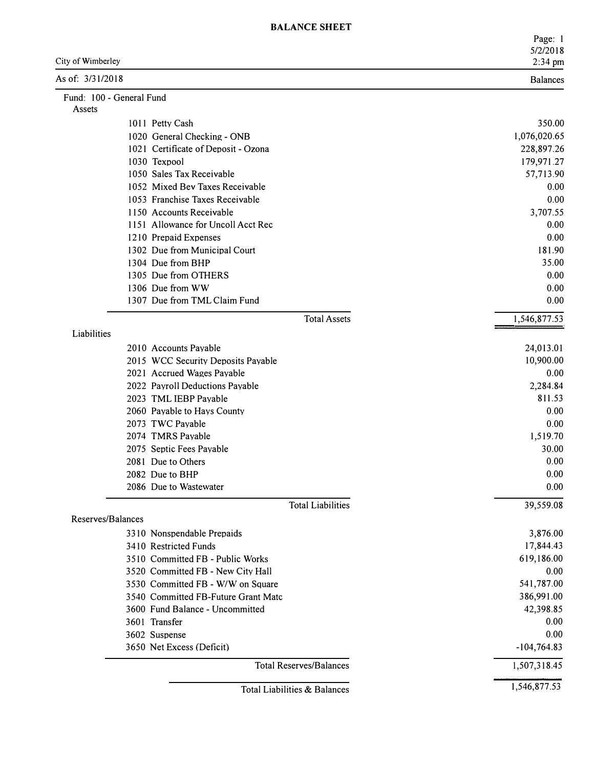| <b>BALANCE SHEET</b> |  |
|----------------------|--|
|                      |  |

|                                                                        | Page: 1<br>5/2/2018     |
|------------------------------------------------------------------------|-------------------------|
| City of Wimberley                                                      | 2:34 pm                 |
| As of: 3/31/2018                                                       | <b>Balances</b>         |
| Fund: 100 - General Fund<br>Assets                                     |                         |
| 1011 Petty Cash                                                        | 350.00                  |
| 1020 General Checking - ONB                                            | 1,076,020.65            |
| 1021 Certificate of Deposit - Ozona                                    | 228,897.26              |
| 1030 Texpool                                                           | 179,971.27              |
| 1050 Sales Tax Receivable                                              | 57,713.90               |
| 1052 Mixed Bev Taxes Receivable                                        | 0.00                    |
| 1053 Franchise Taxes Receivable                                        | 0.00                    |
| 1150 Accounts Receivable                                               | 3,707.55                |
| 1151 Allowance for Uncoll Acct Rec                                     | 0.00                    |
| 1210 Prepaid Expenses                                                  | 0.00                    |
| 1302 Due from Municipal Court                                          | 181.90                  |
| 1304 Due from BHP                                                      | 35.00                   |
| 1305 Due from OTHERS                                                   | 0.00                    |
| 1306 Due from WW                                                       | 0.00                    |
| 1307 Due from TML Claim Fund                                           | 0.00                    |
| <b>Total Assets</b>                                                    | 1,546,877.53            |
| Liabilities                                                            |                         |
| 2010 Accounts Payable                                                  | 24,013.01               |
| 2015 WCC Security Deposits Payable                                     | 10,900.00               |
| 2021 Accrued Wages Payable                                             | 0.00                    |
| 2022 Payroll Deductions Payable                                        | 2,284.84                |
| 2023 TML IEBP Payable                                                  | 811.53                  |
| 2060 Payable to Hays County                                            | 0.00                    |
| 2073 TWC Payable                                                       | 0.00                    |
| 2074 TMRS Payable                                                      | 1,519.70                |
| 2075 Septic Fees Payable                                               | 30.00                   |
| 2081 Due to Others                                                     | 0.00                    |
| 2082 Due to BHP                                                        | 0.00                    |
| 2086 Due to Wastewater                                                 | 0.00                    |
| <b>Total Liabilities</b><br>Reserves/Balances                          | 39,559.08               |
|                                                                        |                         |
| 3310 Nonspendable Prepaids                                             | 3,876.00                |
| 3410 Restricted Funds<br>3510 Committed FB - Public Works              | 17,844.43<br>619,186.00 |
|                                                                        |                         |
| 3520 Committed FB - New City Hall<br>3530 Committed FB - W/W on Square | 0.00<br>541,787.00      |
|                                                                        |                         |
| 3540 Committed FB-Future Grant Matc<br>3600 Fund Balance - Uncommitted | 386,991.00<br>42,398.85 |
|                                                                        | 0.00                    |
| 3601 Transfer                                                          |                         |
| 3602 Suspense<br>3650 Net Excess (Deficit)                             | 0.00<br>$-104,764.83$   |
|                                                                        |                         |
| <b>Total Reserves/Balances</b>                                         | 1,507,318.45            |
| Total Liabilities & Balances                                           | 1,546,877.53            |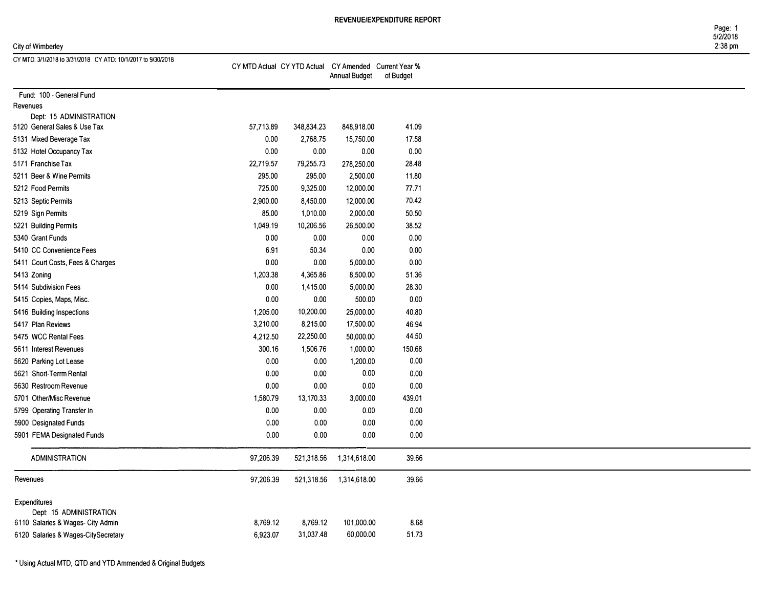|                   | Page: 1  |
|-------------------|----------|
|                   | 5/2/2018 |
| City of Wimberley | 2:38 pm  |

| CY MTD: 3/1/2018 to 3/31/2018 CY ATD: 10/1/2017 to 9/30/2018 |                                                       |            |               |           |
|--------------------------------------------------------------|-------------------------------------------------------|------------|---------------|-----------|
|                                                              | CY MTD Actual CY YTD Actual CY Amended Current Year % |            | Annual Budget | of Budget |
|                                                              |                                                       |            |               |           |
| Fund: 100 - General Fund                                     |                                                       |            |               |           |
| Revenues                                                     |                                                       |            |               |           |
| Dept: 15 ADMINISTRATION                                      |                                                       |            |               |           |
| 5120 General Sales & Use Tax                                 | 57,713.89                                             | 348,834.23 | 848,918.00    | 41.09     |
| 5131 Mixed Beverage Tax                                      | 0.00                                                  | 2,768.75   | 15,750.00     | 17.58     |
| 5132 Hotel Occupancy Tax                                     | 0.00                                                  | 0.00       | 0.00          | 0.00      |
| 5171 Franchise Tax                                           | 22,719.57                                             | 79,255.73  | 278,250.00    | 28.48     |
| 5211 Beer & Wine Permits                                     | 295.00                                                | 295.00     | 2,500.00      | 11.80     |
| 5212 Food Permits                                            | 725.00                                                | 9,325.00   | 12,000.00     | 77.71     |
| 5213 Septic Permits                                          | 2,900.00                                              | 8,450.00   | 12,000.00     | 70.42     |
| 5219 Sign Permits                                            | 85.00                                                 | 1,010.00   | 2,000.00      | 50.50     |
| 5221 Building Permits                                        | 1,049.19                                              | 10,206.56  | 26,500.00     | 38.52     |
| 5340 Grant Funds                                             | 0.00                                                  | 0.00       | 0.00          | 0.00      |
| 5410 CC Convenience Fees                                     | 6.91                                                  | 50.34      | 0.00          | 0.00      |
| 5411 Court Costs, Fees & Charges                             | 0.00                                                  | 0.00       | 5,000.00      | 0.00      |
| 5413 Zoning                                                  | 1,203.38                                              | 4,365.86   | 8,500.00      | 51.36     |
| 5414 Subdivision Fees                                        | 0.00                                                  | 1,415.00   | 5,000.00      | 28.30     |
| 5415 Copies, Maps, Misc.                                     | 0.00                                                  | 0.00       | 500.00        | 0.00      |
|                                                              |                                                       |            |               | 40.80     |
| 5416 Building Inspections                                    | 1,205.00                                              | 10,200.00  | 25,000.00     |           |
| 5417 Plan Reviews                                            | 3,210.00                                              | 8,215.00   | 17,500.00     | 46.94     |
| 5475 WCC Rental Fees                                         | 4,212.50                                              | 22,250.00  | 50,000.00     | 44.50     |
| 5611 Interest Revenues                                       | 300.16                                                | 1,506.76   | 1,000.00      | 150.68    |
| 5620 Parking Lot Lease                                       | 0.00                                                  | 0.00       | 1,200.00      | 0.00      |
| 5621 Short-Terrm Rental                                      | 0.00                                                  | 0.00       | 0.00          | 0.00      |
| 5630 Restroom Revenue                                        | 0.00                                                  | 0.00       | 0.00          | $0.00\,$  |
| 5701 Other/Misc Revenue                                      | 1,580.79                                              | 13,170.33  | 3,000.00      | 439.01    |
| 5799 Operating Transfer In                                   | 0.00                                                  | 0.00       | 0.00          | 0.00      |
| 5900 Designated Funds                                        | $0.00\,$                                              | 0.00       | 0.00          | 0.00      |
| 5901 FEMA Designated Funds                                   | 0.00                                                  | 0.00       | 0.00          | 0.00      |
| <b>ADMINISTRATION</b>                                        | 97,206.39                                             | 521,318.56 | 1,314,618.00  | 39.66     |
| Revenues                                                     | 97,206.39                                             | 521,318.56 | 1,314,618.00  | 39.66     |
| <b>Expenditures</b>                                          |                                                       |            |               |           |
| Dept: 15 ADMINISTRATION                                      |                                                       |            |               |           |
| 6110 Salaries & Wages- City Admin                            | 8,769.12                                              | 8,769.12   | 101,000.00    | 8.68      |
| 6120 Salaries & Wages-CitySecretary                          | 6,923.07                                              | 31,037.48  | 60,000.00     | 51.73     |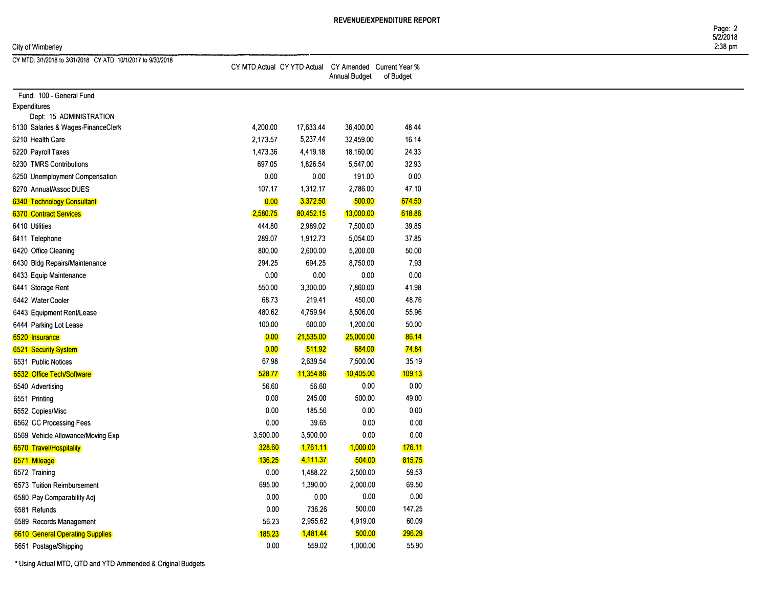#### City of Wimberley 2:38 pm

Page: 2 5/2/2018

| CY MTD: 3/1/2018 to 3/31/2018 CY ATD: 10/1/2017 to 9/30/2018 |          |           | CY MTD Actual CY YTD Actual CY Amended Current Year %<br>Annual Budget | of Budget    |
|--------------------------------------------------------------|----------|-----------|------------------------------------------------------------------------|--------------|
| Fund: 100 - General Fund                                     |          |           |                                                                        |              |
| <b>Expenditures</b>                                          |          |           |                                                                        |              |
| Dept: 15 ADMINISTRATION                                      |          |           |                                                                        |              |
| 6130 Salaries & Wages-FinanceClerk                           | 4,200.00 | 17,633.44 | 36,400.00                                                              | 48.44        |
| 6210 Health Care                                             | 2,173.57 | 5,237.44  | 32,459.00                                                              | 16.14        |
| 6220 Payroll Taxes                                           | 1,473.36 | 4,419.18  | 18,160.00                                                              | 24.33        |
| 6230 TMRS Contributions                                      | 697.05   | 1,826.54  | 5,547.00                                                               | 32.93        |
| 6250 Unemployment Compensation                               | 0.00     | 0.00      | 191.00                                                                 | 0.00         |
| 6270 Annual/Assoc DUES                                       | 107.17   | 1,312.17  | 2,786.00                                                               | 47.10        |
| <b>6340 Technology Consultant</b>                            | 0.00     | 3,372.50  | 500.00                                                                 | 674.50       |
| <b>6370 Contract Services</b>                                | 2,580.75 | 80,452.15 | 13,000.00                                                              | 618.86       |
| 6410 Utilities                                               | 444.80   | 2,989.02  | 7,500.00                                                               | 39.85        |
| 6411 Telephone                                               | 289.07   | 1,912.73  | 5,054.00                                                               | 37.85        |
| 6420 Office Cleaning                                         | 800.00   | 2,600.00  | 5,200.00                                                               | 50.00        |
| 6430 Bldg Repairs/Maintenance                                | 294.25   | 694.25    | 8,750.00                                                               | 7.93         |
| 6433 Equip Maintenance                                       | $0.00\,$ | 0.00      | 0.00                                                                   | 0.00         |
| 6441 Storage Rent                                            | 550.00   | 3,300.00  | 7,860.00                                                               | 41.98        |
| 6442 Water Cooler                                            | 68.73    | 219.41    | 450.00                                                                 | 48.76        |
| 6443 Equipment Rent/Lease                                    | 480.62   | 4,759.94  | 8,506.00                                                               | 55.96        |
| 6444 Parking Lot Lease                                       | 100.00   | 600.00    | 1,200.00                                                               | 50.00        |
| 6520 Insurance                                               | 0.00     | 21,535.00 | 25,000.00                                                              | 86.14        |
| <b>6521 Security System</b>                                  | 0.00     | 511.92    | 684.00                                                                 | <b>74.84</b> |
| 6531 Public Notices                                          | 67.98    | 2,639.54  | 7,500.00                                                               | 35,19        |
| 6532 Office Tech/Software                                    | 528.77   | 11,354.86 | 10,405.00                                                              | 109.13       |
| 6540 Advertising                                             | 56.60    | 56.60     | 0.00                                                                   | 0.00         |
| 6551 Printing                                                | $0.00\,$ | 245.00    | 500.00                                                                 | 49.00        |
| 6552 Copies/Misc                                             | 0.00     | 185.56    | 0.00                                                                   | 0.00         |
| 6562 CC Processing Fees                                      | 0.00     | 39.65     | 0.00                                                                   | 0.00         |
| 6569 Vehicle Allowance/Moving Exp                            | 3,500.00 | 3,500.00  | 0.00                                                                   | 0.00         |
| 6570 Travel/Hospitality                                      | 328.60   | 1,761.11  | 1,000.00                                                               | 176.11       |
| 6571 Mileage                                                 | 136.25   | 4,111.37  | 504.00                                                                 | 815.75       |
| 6572 Training                                                | 0.00     | 1,488.22  | 2,500.00                                                               | 59.53        |
| 6573 Tuition Reimbursement                                   | 695.00   | 1,390.00  | 2,000.00                                                               | 69.50        |
| 6580 Pay Comparability Adj                                   | 0.00     | $0.00\,$  | 0.00                                                                   | 0.00         |
| 6581 Refunds                                                 | 0.00     | 736.26    | 500.00                                                                 | 147.25       |
| 6589 Records Management                                      | 56.23    | 2,955.62  | 4,919.00                                                               | 60.09        |
|                                                              | 185.23   | 1,481.44  | 500.00                                                                 | 296.29       |
| <b>6610 General Operating Supplies</b>                       | 0.00     | 559.02    | 1,000.00                                                               | 55.90        |
| 6651 Postage/Shipping                                        |          |           |                                                                        |              |

\* Using Actual MTD, QTD and YTD Ammended & Original Budgets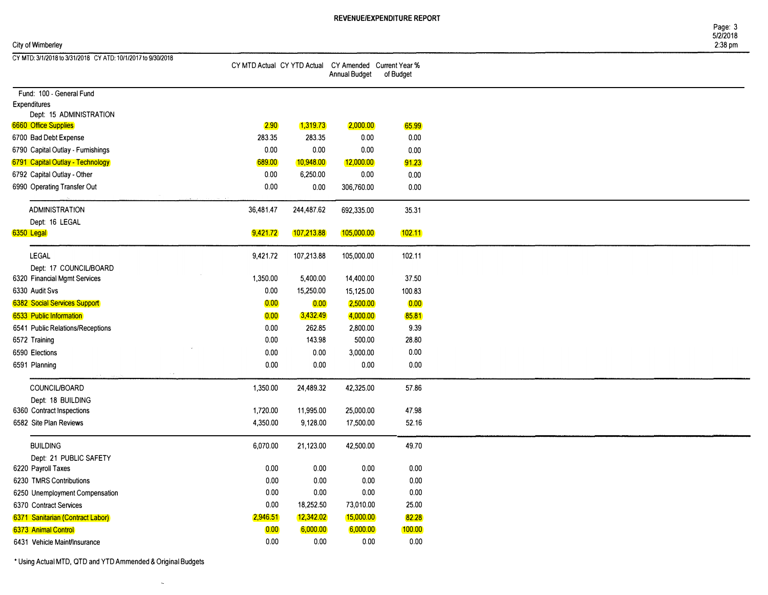#### City of Wimberley 2:38 pm

| CY MTD: 3/1/2018 to 3/31/2018 CY ATD: 10/1/2017 to 9/30/2018 |                                                       |            |               |           |
|--------------------------------------------------------------|-------------------------------------------------------|------------|---------------|-----------|
|                                                              | CY MTD Actual CY YTD Actual CY Amended Current Year % |            |               |           |
|                                                              |                                                       |            | Annual Budget | of Budget |
|                                                              |                                                       |            |               |           |
| Fund: 100 - General Fund<br><b>Expenditures</b>              |                                                       |            |               |           |
| Dept: 15 ADMINISTRATION                                      |                                                       |            |               |           |
| <b>6660 Office Supplies</b>                                  | 2.90                                                  | 1,319.73   | 2,000.00      | 65.99     |
| 6700 Bad Debt Expense                                        | 283.35                                                | 283.35     |               |           |
|                                                              |                                                       |            | 0.00          | 0.00      |
| 6790 Capital Outlay - Furnishings                            | 0.00                                                  | 0.00       | 0.00          | 0.00      |
| 6791 Capital Outlay - Technology                             | 689.00                                                | 10,948.00  | 12,000.00     | 91.23     |
| 6792 Capital Outlay - Other                                  | 0.00                                                  | 6,250.00   | 0.00          | 0.00      |
| 6990 Operating Transfer Out                                  | 0.00                                                  | 0.00       | 306,760.00    | 0.00      |
| <b>ADMINISTRATION</b>                                        | 36,481.47                                             | 244,487.62 | 692,335.00    | 35.31     |
| Dept: 16 LEGAL                                               |                                                       |            |               |           |
| 6350 Legal                                                   | 9,421.72                                              | 107,213.88 | 105,000.00    | 102.11    |
| <b>LEGAL</b>                                                 | 9,421.72                                              | 107,213.88 | 105,000.00    | 102.11    |
| Dept: 17 COUNCIL/BOARD                                       |                                                       |            |               |           |
| 6320 Financial Mgmt Services                                 | 1,350.00                                              | 5,400.00   | 14,400.00     | 37.50     |
| 6330 Audit Svs                                               | 0.00                                                  | 15,250.00  | 15,125.00     | 100.83    |
|                                                              |                                                       |            |               |           |
| 6382 Social Services Support                                 | 0.00                                                  | 0.00       | 2,500.00      | 0.00      |
| 6533 Public Information                                      | 0.00                                                  | 3,432.49   | 4,000.00      | 85.81     |
| 6541 Public Relations/Receptions                             | 0.00                                                  | 262.85     | 2,800.00      | 9.39      |
| 6572 Training                                                | 0.00                                                  | 143.98     | 500.00        | 28.80     |
| 6590 Elections                                               | 0.00                                                  | 0.00       | 3,000.00      | 0.00      |
| 6591 Planning                                                | 0.00                                                  | 0.00       | 0.00          | 0.00      |
| COUNCIL/BOARD                                                | 1,350.00                                              | 24,489.32  | 42,325.00     | 57.86     |
| Dept: 18 BUILDING                                            |                                                       |            |               |           |
| 6360 Contract Inspections                                    | 1,720.00                                              | 11,995.00  | 25,000.00     | 47.98     |
| 6582 Site Plan Reviews                                       | 4,350.00                                              | 9,128.00   | 17,500.00     | 52.16     |
|                                                              |                                                       |            |               |           |
| <b>BUILDING</b>                                              | 6,070.00                                              | 21,123.00  | 42,500.00     | 49.70     |
| Dept: 21 PUBLIC SAFETY                                       |                                                       |            |               |           |
| 6220 Payroll Taxes                                           | 0.00                                                  | 0.00       | 0.00          | 0.00      |
| 6230 TMRS Contributions                                      | 0.00                                                  | 0.00       | 0.00          | 0.00      |
| 6250 Unemployment Compensation                               | 0.00                                                  | 0.00       | 0.00          | 0.00      |
| 6370 Contract Services                                       | 0.00                                                  | 18,252.50  | 73,010.00     | 25.00     |
| 6371 Sanitarian (Contract Labor)                             | 2,946.51                                              | 12,342.02  | 15,000.00     | 82.28     |
| 6373 Animal Control                                          | 0.00                                                  | 6,000.00   | 6,000.00      | 100.00    |
| 6431 Vehicle Maint/Insurance                                 | 0.00                                                  | 0.00       | 0.00          | 0.00      |

\* Using Actual MTD, QTD and YTD Ammended & Original Budgets

 $\bar{u}$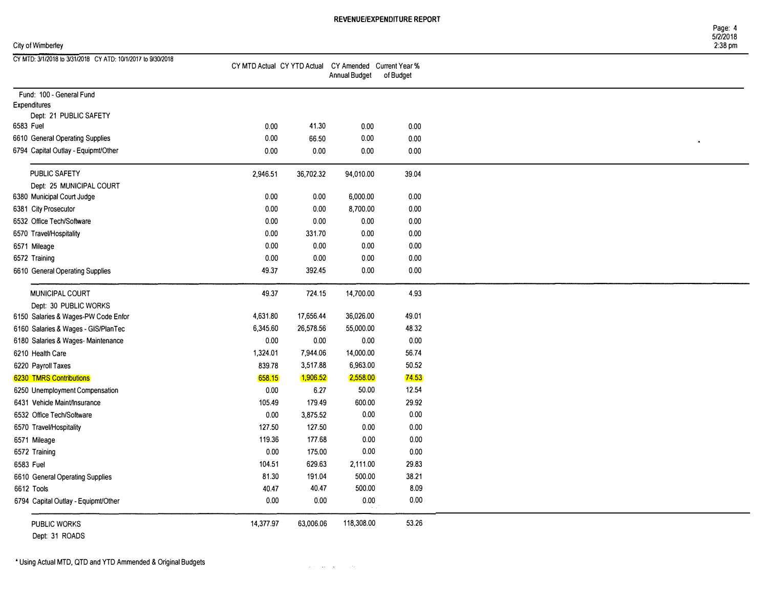Expenditures

| City of Wimberley                                            |                                                       |           |                      |           | Page: 4<br>5/2/2018<br>$2:38$ pm |
|--------------------------------------------------------------|-------------------------------------------------------|-----------|----------------------|-----------|----------------------------------|
| CY MTD: 3/1/2018 to 3/31/2018 CY ATD: 10/1/2017 to 9/30/2018 | CY MTD Actual CY YTD Actual CY Amended Current Year % |           | <b>Annual Budget</b> | of Budget |                                  |
| Fund: 100 - General Fund                                     |                                                       |           |                      |           |                                  |
| Expenditures                                                 |                                                       |           |                      |           |                                  |
| Dept: 21 PUBLIC SAFETY                                       |                                                       |           |                      |           |                                  |
| 6583 Fuel                                                    | 0.00                                                  | 41.30     | 0.00                 | 0.00      |                                  |
| 6610 General Operating Supplies                              | 0.00                                                  | 66.50     | 0.00                 | 0.00      | $\bullet$                        |
| 6794 Capital Outlay - Equipmt/Other                          | 0.00                                                  | 0.00      | 0.00                 | 0.00      |                                  |
| PUBLIC SAFETY                                                | 2,946.51                                              | 36,702.32 | 94,010.00            | 39.04     |                                  |
| Dept: 25 MUNICIPAL COURT                                     |                                                       |           |                      |           |                                  |
| 6380 Municipal Court Judge                                   | 0.00                                                  | 0.00      | 6,000.00             | 0.00      |                                  |
| 6381 City Prosecutor                                         | 0.00                                                  | 0.00      | 8,700.00             | 0.00      |                                  |
| 6532 Office Tech/Software                                    | 0.00                                                  | 0.00      | 0.00                 | 0.00      |                                  |
| 6570 Travel/Hospitality                                      | 0.00                                                  | 331.70    | 0.00                 | 0.00      |                                  |
| 6571 Mileage                                                 | 0.00                                                  | 0.00      | 0.00                 | 0.00      |                                  |
| 6572 Training                                                | 0.00                                                  | 0.00      | 0.00                 | 0.00      |                                  |
|                                                              |                                                       |           |                      |           |                                  |

| 6610 General Operating Supplies                        | 0.00      | 66.50     | 0.00       | 0.00  |
|--------------------------------------------------------|-----------|-----------|------------|-------|
| 6794 Capital Outlay - Equipmt/Other                    | 0.00      | 0.00      | 0.00       | 0.00  |
| PUBLIC SAFETY                                          |           |           |            |       |
|                                                        | 2,946.51  | 36,702.32 | 94,010.00  | 39.04 |
| Dept: 25 MUNICIPAL COURT<br>6380 Municipal Court Judge | 0.00      | 0.00      | 6,000.00   | 0.00  |
| 6381 City Prosecutor                                   | 0.00      | 0.00      | 8,700.00   | 0.00  |
| 6532 Office Tech/Software                              | 0.00      | 0.00      | 0.00       | 0.00  |
| 6570 Travel/Hospitality                                | 0.00      | 331.70    | 0.00       | 0.00  |
|                                                        |           |           |            |       |
| 6571 Mileage                                           | 0.00      | 0.00      | 0.00       | 0.00  |
| 6572 Training                                          | 0.00      | 0.00      | 0.00       | 0.00  |
| 6610 General Operating Supplies                        | 49.37     | 392.45    | 0.00       | 0.00  |
| MUNICIPAL COURT                                        | 49.37     | 724.15    | 14,700.00  | 4.93  |
| Dept: 30 PUBLIC WORKS                                  |           |           |            |       |
| 6150 Salaries & Wages-PW Code Enfor                    | 4,631.80  | 17,656.44 | 36,026.00  | 49.01 |
| 6160 Salaries & Wages - GIS/PlanTec                    | 6,345.60  | 26,578.56 | 55,000.00  | 48.32 |
| 6180 Salaries & Wages-Maintenance                      | 0.00      | 0.00      | 0.00       | 0.00  |
| 6210 Health Care                                       | 1,324.01  | 7,944.06  | 14,000.00  | 56.74 |
| 6220 Payroll Taxes                                     | 839.78    | 3,517.88  | 6,963.00   | 50.52 |
| <b>6230 TMRS Contributions</b>                         | 658.15    | 1,906.52  | 2,558.00   | 74.53 |
| 6250 Unemployment Compensation                         | 0.00      | 6.27      | 50.00      | 12.54 |
| 6431 Vehicle Maint/Insurance                           | 105.49    | 179.49    | 600.00     | 29.92 |
| 6532 Office Tech/Software                              | 0.00      | 3,875.52  | 0.00       | 0.00  |
|                                                        | 127.50    | 127.50    | 0.00       | 0.00  |
| 6570 Travel/Hospitality                                |           |           |            |       |
| 6571 Mileage                                           | 119.36    | 177.68    | 0.00       | 0.00  |
| 6572 Training                                          | 0.00      | 175.00    | 0.00       | 0.00  |
| 6583 Fuel                                              | 104.51    | 629.63    | 2,111.00   | 29.83 |
| 6610 General Operating Supplies                        | 81.30     | 191.04    | 500.00     | 38.21 |
| 6612 Tools                                             | 40.47     | 40.47     | 500.00     | 8.09  |
| 6794 Capital Outlay - Equipmt/Other                    | 0.00      | 0.00      | 0.00       | 0.00  |
| PUBLIC WORKS                                           | 14,377.97 | 63,006.06 | 118,308.00 | 53.26 |
| Dept: 31 ROADS                                         |           |           |            |       |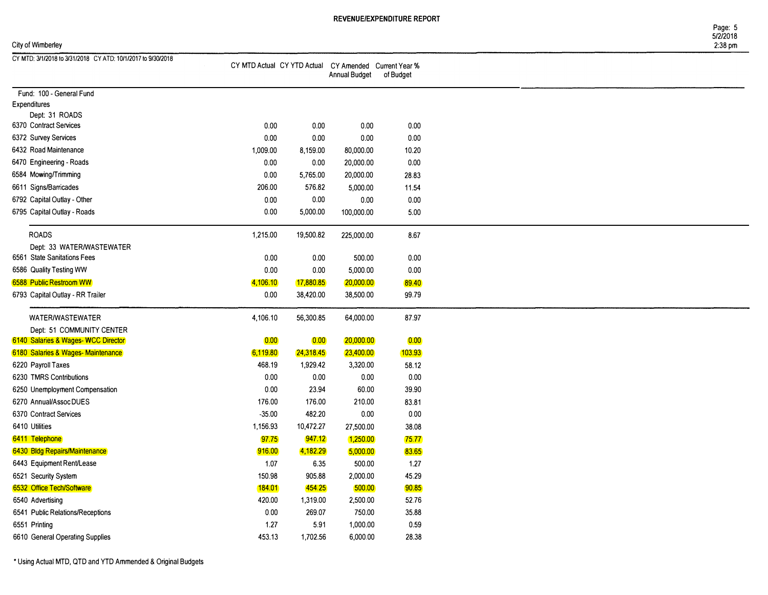Page: 5 5/2/2018

## City of Wimberley 2:38 pm

| CY MTD: 3/1/2018 to 3/31/2018 CY ATD: 10/1/2017 to 9/30/2018 |          |           |                                                                        |           |  |
|--------------------------------------------------------------|----------|-----------|------------------------------------------------------------------------|-----------|--|
|                                                              |          |           | CY MTD Actual CY YTD Actual CY Amended Current Year %<br>Annual Budget | of Budget |  |
| Fund: 100 - General Fund                                     |          |           |                                                                        |           |  |
| <b>Expenditures</b>                                          |          |           |                                                                        |           |  |
| Dept: 31 ROADS                                               |          |           |                                                                        |           |  |
| 6370 Contract Services                                       | 0.00     | 0.00      | 0.00                                                                   | 0.00      |  |
| 6372 Survey Services                                         | 0.00     | 0.00      | 0.00                                                                   | 0.00      |  |
| 6432 Road Maintenance                                        | 1,009.00 | 8,159.00  | 80,000.00                                                              | 10.20     |  |
| 6470 Engineering - Roads                                     | 0.00     | 0.00      | 20,000.00                                                              | 0.00      |  |
| 6584 Mowing/Trimming                                         | 0.00     | 5,765.00  | 20,000.00                                                              | 28.83     |  |
| 6611 Signs/Barricades                                        | 206.00   | 576.82    | 5,000.00                                                               | 11.54     |  |
| 6792 Capital Outlay - Other                                  | 0.00     | 0.00      | 0.00                                                                   | 0.00      |  |
| 6795 Capital Outlay - Roads                                  | 0.00     | 5,000.00  | 100,000.00                                                             | 5.00      |  |
| <b>ROADS</b>                                                 | 1,215.00 | 19,500.82 | 225,000.00                                                             | 8.67      |  |
| Dept: 33 WATER/WASTEWATER                                    |          |           |                                                                        |           |  |
| 6561 State Sanitations Fees                                  | 0.00     | 0.00      | 500.00                                                                 | 0.00      |  |
| 6586 Quality Testing WW                                      | 0.00     | 0.00      | 5,000.00                                                               | 0.00      |  |
| 6588 Public Restroom WW                                      | 4,106.10 | 17,880.85 | 20,000.00                                                              | 89.40     |  |
| 6793 Capital Outlay - RR Trailer                             | 0.00     | 38,420.00 | 38,500.00                                                              | 99.79     |  |
| WATER/WASTEWATER                                             | 4,106.10 | 56,300.85 | 64,000.00                                                              | 87.97     |  |
| Dept: 51 COMMUNITY CENTER                                    |          |           |                                                                        |           |  |
| 6140 Salaries & Wages-WCC Director                           | 0.00     | 0.00      | 20,000.00                                                              | 0.00      |  |
| 6180 Salaries & Wages-Maintenance                            | 6,119.80 | 24,318.45 | 23,400.00                                                              | (103.93)  |  |
| 6220 Payroll Taxes                                           | 468.19   | 1,929.42  | 3,320.00                                                               | 58.12     |  |
| 6230 TMRS Contributions                                      | 0.00     | 0.00      | 0.00                                                                   | 0.00      |  |
| 6250 Unemployment Compensation                               | $0.00\,$ | 23.94     | 60.00                                                                  | 39.90     |  |
| 6270 Annual/Assoc DUES                                       | 176.00   | 176.00    | 210.00                                                                 | 83.81     |  |
| 6370 Contract Services                                       | $-35.00$ | 482.20    | 0.00                                                                   | 0.00      |  |
| 6410 Utilities                                               | 1,156.93 | 10,472.27 | 27,500.00                                                              | 38.08     |  |
| 6411 Telephone                                               | 97.75    | 947.12    | 1,250.00                                                               | 75.77     |  |
| 6430 Bldg Repairs/Maintenance                                | 916.00   | 4,182.29  | 5,000.00                                                               | 83.65     |  |
| 6443 Equipment Rent/Lease                                    | 1.07     | 6.35      | 500.00                                                                 | 1.27      |  |
| 6521 Security System                                         | 150.98   | 905.88    | 2,000.00                                                               | 45.29     |  |
| 6532 Office Tech/Software                                    | 184.01   | 454.25    | 500.00                                                                 | 90.85     |  |
| 6540 Advertising                                             | 420.00   | 1,319.00  | 2,500.00                                                               | 52.76     |  |
| 6541 Public Relations/Receptions                             | $0.00\,$ | 269.07    | 750.00                                                                 | 35.88     |  |
| 6551 Printing                                                | 1.27     | 5.91      | 1,000.00                                                               | 0.59      |  |
| 6610 General Operating Supplies                              | 453.13   | 1,702.56  | 6,000.00                                                               | 28.38     |  |

• Using Actual MTD, QTD and YTD Ammended & Original Budgets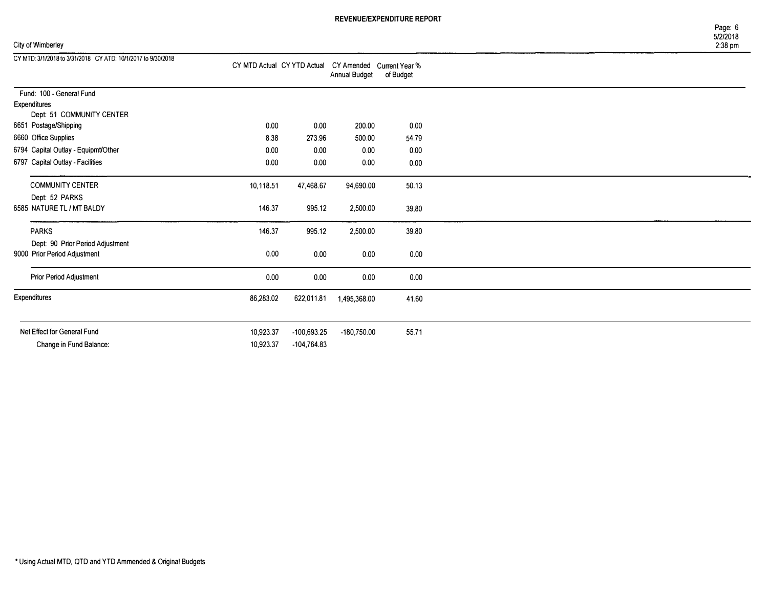CY MTD Actual CY YTD Actual CY Amended Current Year %

| City of Wimberley |
|-------------------|
|-------------------|

CY MTD: 3/1/2018 to 3131/2018 CY ATD: 10/1/2017 lo 9/30/2018

|              |                                                                  |           |               | Annual Budget | of Budget |
|--------------|------------------------------------------------------------------|-----------|---------------|---------------|-----------|
| Expenditures | Fund: 100 - General Fund                                         |           |               |               |           |
|              | Dept: 51 COMMUNITY CENTER<br>6651 Postage/Shipping               | 0.00      | 0.00          | 200.00        | 0.00      |
|              | 6660 Office Supplies                                             | 8.38      | 273.96        | 500.00        | 54.79     |
|              | 6794 Capital Outlay - Equipmt/Other                              | 0.00      | 0.00          | 0.00          | 0.00      |
|              | 6797 Capital Outlay - Facilities                                 | 0.00      | 0.00          | 0.00          | 0.00      |
|              | <b>COMMUNITY CENTER</b>                                          | 10,118.51 | 47,468.67     | 94,690.00     | 50.13     |
|              | Dept: 52 PARKS<br>6585 NATURE TL / MT BALDY                      | 146.37    | 995.12        | 2,500.00      | 39,80     |
| <b>PARKS</b> |                                                                  | 146.37    | 995.12        | 2,500.00      | 39.80     |
|              | Dept: 90 Prior Period Adjustment<br>9000 Prior Period Adjustment | 0.00      | 0.00          | 0.00          | 0.00      |
|              | Prior Period Adjustment                                          | 0.00      | 0.00          | 0.00          | 0.00      |
| Expenditures |                                                                  | 86,283.02 | 622,011.81    | 1,495,368.00  | 41.60     |
|              |                                                                  |           |               |               |           |
|              | Net Effect for General Fund                                      | 10,923.37 | $-100,693.25$ | -180,750.00   | 55.71     |
|              | Change in Fund Balance:                                          | 10,923.37 | $-104,764.83$ |               |           |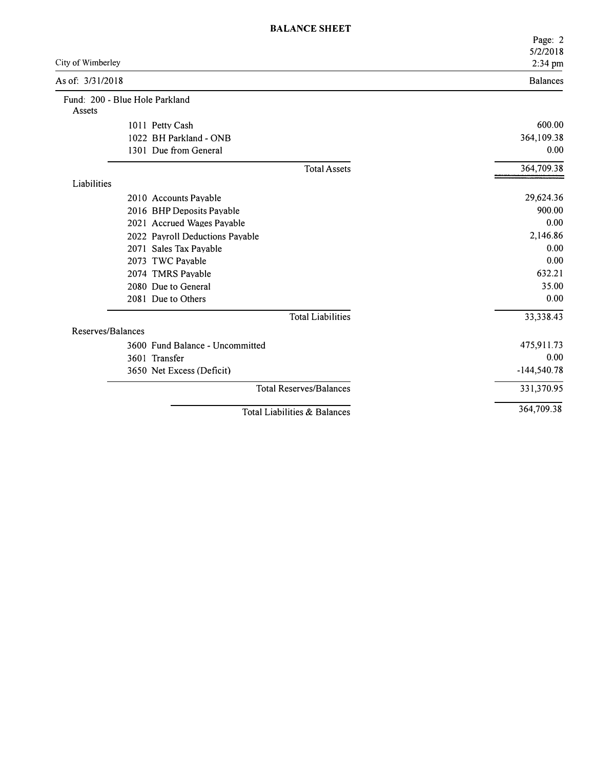|                                          |                                 | Page: 2         |
|------------------------------------------|---------------------------------|-----------------|
|                                          |                                 | 5/2/2018        |
| City of Wimberley                        |                                 | 2:34 pm         |
| As of: 3/31/2018                         |                                 | <b>Balances</b> |
| Fund: 200 - Blue Hole Parkland<br>Assets |                                 |                 |
|                                          | 1011 Petty Cash                 | 600.00          |
|                                          | 1022 BH Parkland - ONB          | 364,109.38      |
|                                          | 1301 Due from General           | 0.00            |
|                                          | <b>Total Assets</b>             | 364,709.38      |
| Liabilities                              |                                 |                 |
|                                          | 2010 Accounts Payable           | 29,624.36       |
|                                          | 2016 BHP Deposits Payable       | 900.00          |
|                                          | 2021 Accrued Wages Payable      | 0.00            |
|                                          | 2022 Payroll Deductions Payable | 2,146.86        |
|                                          | 2071 Sales Tax Payable          | 0.00            |
|                                          | 2073 TWC Payable                | 0.00            |
|                                          | 2074 TMRS Payable               | 632.21          |
|                                          | 2080 Due to General             | 35.00           |
|                                          | 2081 Due to Others              | 0.00            |
|                                          | <b>Total Liabilities</b>        | 33,338.43       |
| Reserves/Balances                        |                                 |                 |
|                                          | 3600 Fund Balance - Uncommitted | 475,911.73      |
|                                          | 3601 Transfer                   | 0.00            |
|                                          | 3650 Net Excess (Deficit)       | $-144,540.78$   |
|                                          | <b>Total Reserves/Balances</b>  | 331,370.95      |
|                                          | Total Liabilities & Balances    | 364,709.38      |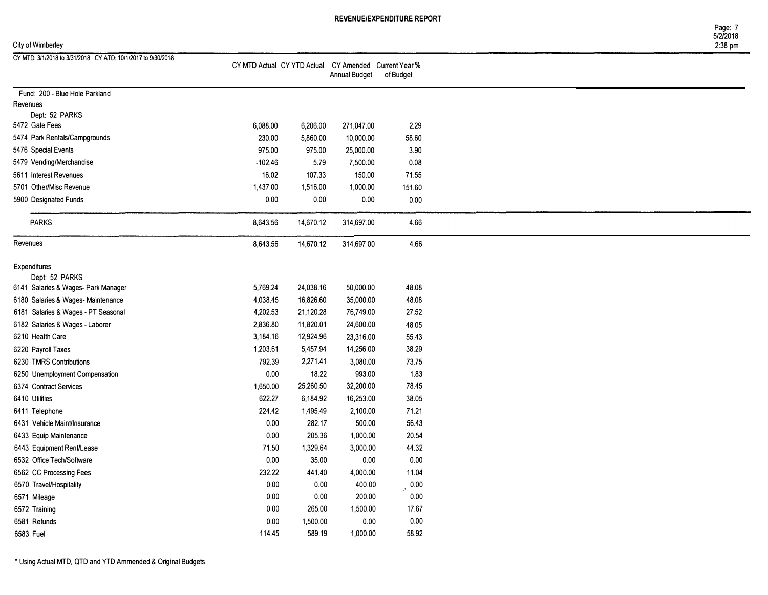Page: 7 5/212018

| City of Wimberley |  |  |
|-------------------|--|--|
|-------------------|--|--|

| City of Wimberley                                            |           |           |                                                                               |           | $2:38$ pm |
|--------------------------------------------------------------|-----------|-----------|-------------------------------------------------------------------------------|-----------|-----------|
| CY MTD: 3/1/2018 to 3/31/2018 CY ATD: 10/1/2017 to 9/30/2018 |           |           | CY MTD Actual CY YTD Actual CY Amended Current Year %<br><b>Annual Budget</b> | of Budget |           |
| Fund: 200 - Blue Hole Parkland                               |           |           |                                                                               |           |           |
| Revenues                                                     |           |           |                                                                               |           |           |
| Dept: 52 PARKS                                               |           |           |                                                                               |           |           |
| 5472 Gate Fees                                               | 6,088.00  | 6,206.00  | 271,047.00                                                                    | 2.29      |           |
| 5474 Park Rentals/Campgrounds                                | 230.00    | 5,860.00  | 10,000.00                                                                     | 58.60     |           |
| 5476 Special Events                                          | 975.00    | 975.00    | 25,000.00                                                                     | 3.90      |           |
| 5479 Vending/Merchandise                                     | $-102.46$ | 5.79      | 7,500.00                                                                      | 0.08      |           |
| 5611 Interest Revenues                                       | 16.02     | 107.33    | 150.00                                                                        | 71.55     |           |
| 5701 Other/Misc Revenue                                      | 1,437.00  | 1,516.00  | 1,000.00                                                                      | 151.60    |           |
| 5900 Designated Funds                                        | $0.00\,$  | 0.00      | 0.00                                                                          | $0.00\,$  |           |
| <b>PARKS</b>                                                 | 8,643.56  | 14,670.12 | 314,697.00                                                                    | 4.66      |           |
| Revenues                                                     | 8,643.56  | 14,670.12 | 314,697.00                                                                    | 4.66      |           |
| <b>Expenditures</b>                                          |           |           |                                                                               |           |           |
| Dept: 52 PARKS                                               |           |           |                                                                               |           |           |
| 6141 Salaries & Wages- Park Manager                          | 5,769.24  | 24,038.16 | 50,000.00                                                                     | 48.08     |           |
| 6180 Salaries & Wages-Maintenance                            | 4,038.45  | 16,826.60 | 35,000.00                                                                     | 48.08     |           |
| 6181 Salaries & Wages - PT Seasonal                          | 4,202.53  | 21,120.28 | 76,749.00                                                                     | 27.52     |           |
| 6182 Salaries & Wages - Laborer                              | 2,836.80  | 11,820.01 | 24,600.00                                                                     | 48.05     |           |
| 6210 Health Care                                             | 3,184.16  | 12,924.96 | 23,316.00                                                                     | 55.43     |           |
| 6220 Payroll Taxes                                           | 1,203.61  | 5,457.94  | 14,256.00                                                                     | 38.29     |           |
| 6230 TMRS Contributions                                      | 792.39    | 2,271.41  | 3,080.00                                                                      | 73.75     |           |
| 6250 Unemployment Compensation                               | 0.00      | 18.22     | 993.00                                                                        | 1.83      |           |
| 6374 Contract Services                                       | 1,650.00  | 25,260.50 | 32,200.00                                                                     | 78.45     |           |
| 6410 Utilities                                               | 622.27    | 6,184.92  | 16,253.00                                                                     | 38.05     |           |
| 6411 Telephone                                               | 224.42    | 1,495.49  | 2,100.00                                                                      | 71.21     |           |
| 6431 Vehicle Maint/Insurance                                 | 0.00      | 282.17    | 500.00                                                                        | 56.43     |           |
| 6433 Equip Maintenance                                       | 0.00      | 205.36    | 1,000.00                                                                      | 20.54     |           |
| 6443 Equipment Rent/Lease                                    | 71.50     | 1,329.64  | 3,000.00                                                                      | 44.32     |           |
| 6532 Office Tech/Software                                    | 0.00      | 35.00     | 0.00                                                                          | 0.00      |           |
| 6562 CC Processing Fees                                      | 232.22    | 441.40    | 4,000.00                                                                      | 11.04     |           |
| 6570 Travel/Hospitality                                      | 0.00      | 0.00      | 400.00                                                                        | 0.00      |           |
| 6571 Mileage                                                 | 0.00      | 0.00      | 200.00                                                                        | 0.00      |           |
| 6572 Training                                                | 0.00      | 265.00    | 1,500.00                                                                      | 17.67     |           |
| 6581 Refunds                                                 | 0.00      | 1,500.00  | 0.00                                                                          | 0.00      |           |
| 6583 Fuel                                                    | 114.45    | 589.19    | 1,000.00                                                                      | 58.92     |           |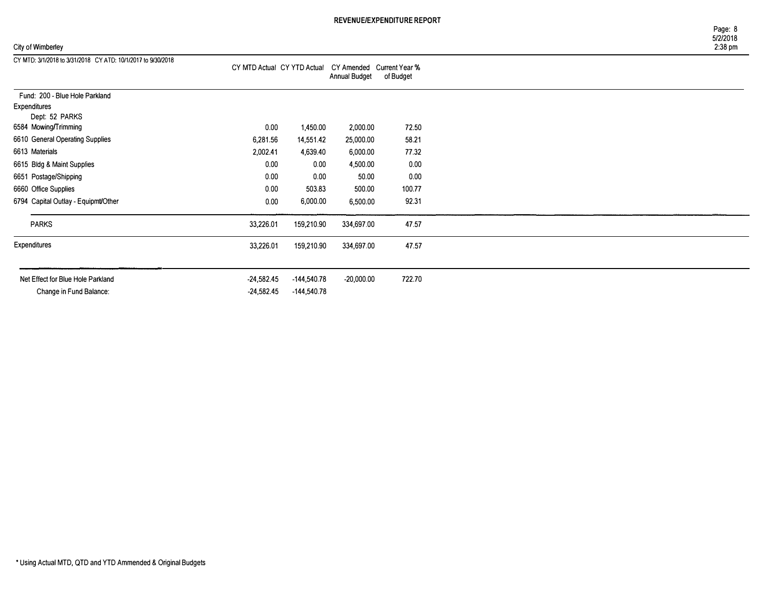## City of Wimberley

| Page: 8  |
|----------|
| 5/2/2018 |
| 2:38 pm  |

| CY MTD: 3/1/2018 to 3/31/2018 CY ATD: 10/1/2017 to 9/30/2018 | CY MTD Actual CY YTD Actual CY Amended Current Year % |               | Annual Budget | of Budget |  |
|--------------------------------------------------------------|-------------------------------------------------------|---------------|---------------|-----------|--|
| Fund: 200 - Blue Hole Parkland                               |                                                       |               |               |           |  |
| Expenditures                                                 |                                                       |               |               |           |  |
| Dept: 52 PARKS<br>6584 Mowing/Trimming                       | 0.00                                                  | 1,450.00      | 2,000.00      | 72.50     |  |
| 6610 General Operating Supplies                              | 6,281.56                                              | 14,551.42     | 25,000.00     | 58.21     |  |
| 6613 Materials                                               | 2,002.41                                              | 4,639.40      | 6,000.00      | 77.32     |  |
| 6615 Bldg & Maint Supplies                                   | 0.00                                                  | 0.00          | 4,500.00      | 0.00      |  |
| 6651 Postage/Shipping                                        | 0.00                                                  | 0.00          | 50.00         | 0.00      |  |
| 6660 Office Supplies                                         | 0.00                                                  | 503.83        | 500.00        | 100.77    |  |
| 6794 Capital Outlay - Equipmt/Other                          | 0.00                                                  | 6,000.00      | 6,500.00      | 92.31     |  |
| <b>PARKS</b>                                                 | 33,226.01                                             | 159,210.90    | 334,697.00    | 47.57     |  |
| Expenditures                                                 | 33,226.01                                             | 159,210.90    | 334,697.00    | 47.57     |  |
|                                                              |                                                       |               |               |           |  |
| Net Effect for Blue Hole Parkland                            | $-24,582.45$                                          | $-144,540.78$ | $-20,000.00$  | 722.70    |  |
| Change in Fund Balance:                                      | $-24,582.45$                                          | -144,540.78   |               |           |  |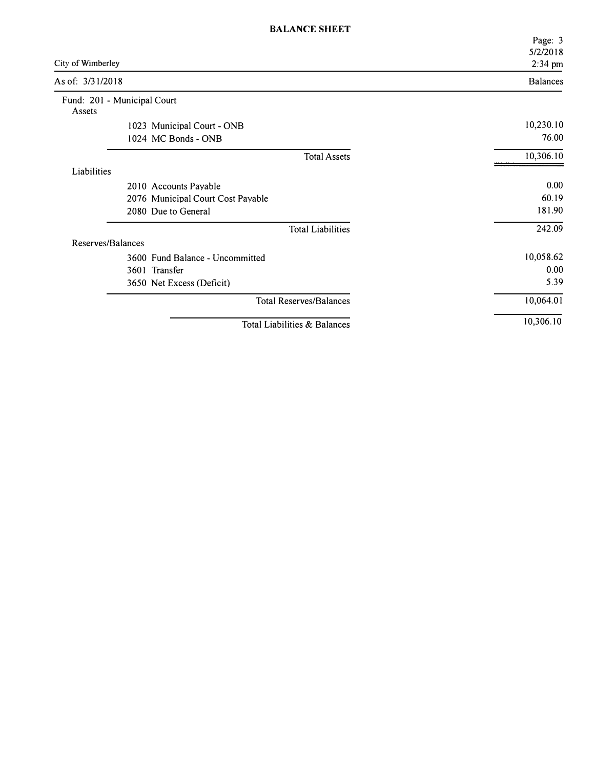|                   |                                   | Page: 3<br>5/2/2018 |
|-------------------|-----------------------------------|---------------------|
| City of Wimberley |                                   | 2:34 pm             |
| As of: 3/31/2018  |                                   | <b>Balances</b>     |
| Assets            | Fund: 201 - Municipal Court       |                     |
|                   | 1023 Municipal Court - ONB        | 10,230.10           |
|                   | 1024 MC Bonds - ONB               | 76.00               |
|                   | <b>Total Assets</b>               | 10,306.10           |
| Liabilities       |                                   |                     |
|                   | 2010 Accounts Payable             | 0.00                |
|                   | 2076 Municipal Court Cost Payable | 60.19               |
|                   | 2080 Due to General               | 181.90              |
|                   | <b>Total Liabilities</b>          | 242.09              |
| Reserves/Balances |                                   |                     |
|                   | 3600 Fund Balance - Uncommitted   | 10,058.62           |
|                   | 3601 Transfer                     | 0.00                |
|                   | 3650 Net Excess (Deficit)         | 5.39                |
|                   | <b>Total Reserves/Balances</b>    | 10,064.01           |
|                   | Total Liabilities & Balances      | 10,306.10           |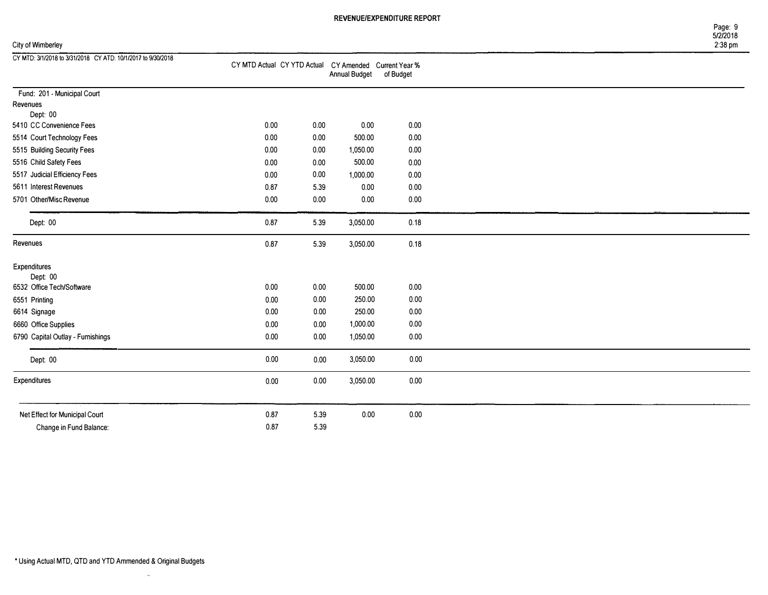Page: 9 5/2/2018

### City of Wimberley 2:38 pm

|      |                              |                              | of Budget                                                                                                               |
|------|------------------------------|------------------------------|-------------------------------------------------------------------------------------------------------------------------|
|      |                              |                              |                                                                                                                         |
|      |                              |                              |                                                                                                                         |
|      |                              |                              |                                                                                                                         |
|      |                              |                              | 0.00                                                                                                                    |
|      |                              |                              | 0.00                                                                                                                    |
|      |                              |                              | 0.00                                                                                                                    |
| 0.00 | 0.00                         | 500.00                       | 0.00                                                                                                                    |
| 0.00 | 0.00                         | 1,000.00                     | 0.00                                                                                                                    |
| 0.87 | 5.39                         | 0.00                         | 0.00                                                                                                                    |
| 0.00 | 0.00                         | 0.00                         | 0.00                                                                                                                    |
|      |                              |                              |                                                                                                                         |
|      |                              |                              | 0.18                                                                                                                    |
| 0.87 | 5.39                         | 3,050.00                     | 0.18                                                                                                                    |
|      |                              |                              |                                                                                                                         |
|      |                              |                              |                                                                                                                         |
| 0.00 | 0.00                         | 500.00                       | 0.00                                                                                                                    |
| 0.00 | 0.00                         | 250.00                       | 0.00                                                                                                                    |
| 0.00 | 0.00                         | 250.00                       | 0.00                                                                                                                    |
| 0.00 | 0.00                         | 1,000.00                     | 0.00                                                                                                                    |
| 0.00 | 0.00                         | 1,050.00                     | 0.00                                                                                                                    |
| 0.00 | 0.00                         | 3,050.00                     | 0.00                                                                                                                    |
| 0.00 | 0.00                         | 3,050.00                     | 0.00                                                                                                                    |
|      |                              |                              |                                                                                                                         |
| 0.87 | 5.39                         | 0.00                         | 0.00                                                                                                                    |
| 0.87 | 5.39                         |                              |                                                                                                                         |
|      | 0.00<br>0.00<br>0.00<br>0.87 | 0.00<br>0.00<br>0.00<br>5.39 | CY MTD Actual CY YTD Actual CY Amended Current Year %<br><b>Annual Budget</b><br>0.00<br>500.00<br>1,050.00<br>3,050.00 |

 $\sim$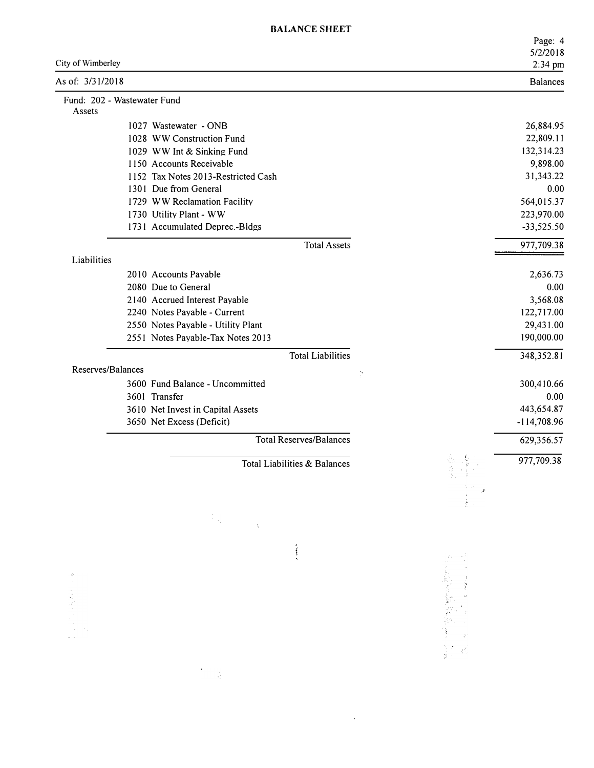| City of Wimberley |                                     |                 | Page: 4<br>5/2/2018<br>2:34 pm |
|-------------------|-------------------------------------|-----------------|--------------------------------|
| As of: 3/31/2018  |                                     |                 | <b>Balances</b>                |
| Assets            | Fund: 202 - Wastewater Fund         |                 |                                |
|                   | 1027 Wastewater - ONB               |                 | 26,884.95                      |
|                   | 1028 WW Construction Fund           |                 | 22,809.11                      |
|                   | 1029 WW Int & Sinking Fund          |                 | 132,314.23                     |
|                   | 1150 Accounts Receivable            |                 | 9,898.00                       |
|                   | 1152 Tax Notes 2013-Restricted Cash |                 | 31,343.22                      |
|                   | 1301 Due from General               |                 | 0.00                           |
|                   | 1729 WW Reclamation Facility        |                 | 564,015.37                     |
|                   | 1730 Utility Plant - WW             |                 | 223,970.00                     |
|                   | 1731 Accumulated Deprec.-Bldgs      |                 | $-33,525.50$                   |
|                   | <b>Total Assets</b>                 |                 | 977,709.38                     |
| Liabilities       |                                     |                 |                                |
|                   | 2010 Accounts Payable               |                 | 2,636.73                       |
|                   | 2080 Due to General                 |                 | 0.00                           |
|                   | 2140 Accrued Interest Pavable       |                 | 3,568.08                       |
|                   | 2240 Notes Payable - Current        |                 | 122,717.00                     |
|                   | 2550 Notes Payable - Utility Plant  |                 | 29,431.00                      |
|                   | 2551 Notes Payable-Tax Notes 2013   |                 | 190,000.00                     |
|                   | <b>Total Liabilities</b>            |                 | 348,352.81                     |
| Reserves/Balances |                                     | $\tilde{\zeta}$ |                                |
|                   | 3600 Fund Balance - Uncommitted     |                 | 300,410.66                     |
|                   | 3601 Transfer                       |                 | 0.00                           |
|                   | 3610 Net Invest in Capital Assets   |                 | 443,654.87                     |
|                   | 3650 Net Excess (Deficit)           |                 | -114,708.96                    |
|                   | <b>Total Reserves/Balances</b>      |                 | 629,356.57                     |
|                   | Total Liabilities & Balances        |                 | 977,709.38                     |
|                   |                                     |                 |                                |
|                   |                                     |                 |                                |
|                   | $\tilde{\tau}_p$                    |                 |                                |

 $\hat{r}$  , and  $\hat{r}$ 

 $\hat{\mathcal{A}}$ 

化二氯酸氢盐酸盐 化二苯二胺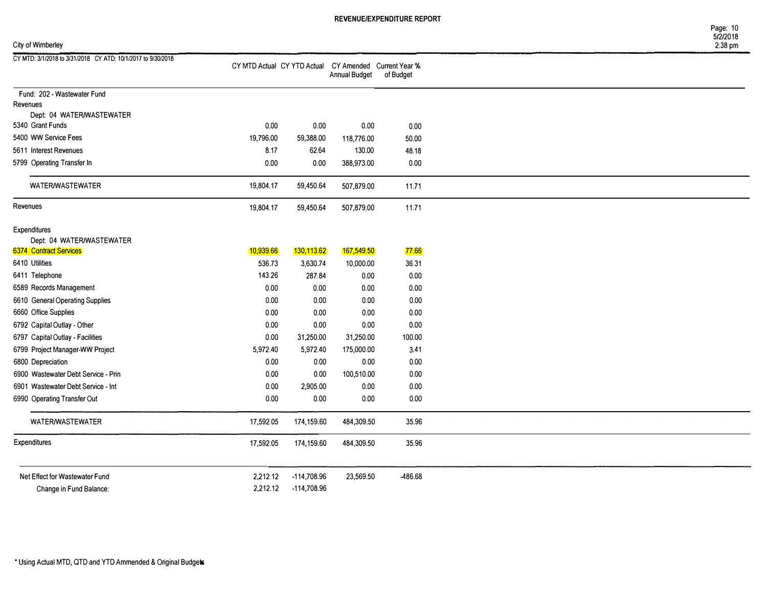Page: 10 5/2/2018

## City of Wimberley 2:38 pm

| CY MTD: 3/1/2018 to 3/31/2018 CY ATD: 10/1/2017 to 9/30/2018 | CY MTD Actual CY YTD Actual CY Amended Current Year % |             | <b>Annual Budget</b> | of Budget |
|--------------------------------------------------------------|-------------------------------------------------------|-------------|----------------------|-----------|
| Fund: 202 - Wastewater Fund                                  |                                                       |             |                      |           |
| Revenues                                                     |                                                       |             |                      |           |
| Dept: 04 WATER/WASTEWATER                                    |                                                       |             |                      |           |
| 5340 Grant Funds                                             | 0.00                                                  | 0.00        | 0.00                 | 0.00      |
| 5400 WW Service Fees                                         | 19,796.00                                             | 59,388.00   | 118,776.00           | 50.00     |
| 5611 Interest Revenues                                       | 8.17                                                  | 62.64       | 130.00               | 48.18     |
| 5799 Operating Transfer In                                   | 0.00                                                  | 0.00        | 388,973.00           | 0.00      |
| WATER/WASTEWATER                                             | 19,804.17                                             | 59,450.64   | 507,879.00           | 11.71     |
| Revenues                                                     | 19,804.17                                             | 59,450.64   | 507,879.00           | 11.71     |
| <b>Expenditures</b>                                          |                                                       |             |                      |           |
| Dept: 04 WATER/WASTEWATER                                    |                                                       |             |                      |           |
| 6374 Contract Services                                       | 10,939.66                                             | 130,113.62  | 167,549.50           | 77.66     |
| 6410 Utilities                                               | 536.73                                                | 3,630.74    | 10,000.00            | 36.31     |
| 6411 Telephone                                               | 143.26                                                | 287.84      | 0.00                 | 0.00      |
| 6589 Records Management                                      | 0.00                                                  | 0.00        | 0.00                 | 0.00      |
| 6610 General Operating Supplies                              | 0.00                                                  | 0.00        | 0.00                 | 0.00      |
| 6660 Office Supplies                                         | 0.00                                                  | 0.00        | 0.00                 | 0.00      |
| 6792 Capital Outlay - Other                                  | 0.00                                                  | 0.00        | 0.00                 | 0.00      |
| 6797 Capital Outlay - Facilities                             | 0.00                                                  | 31,250.00   | 31,250.00            | 100.00    |
| 6799 Project Manager-WW Project                              | 5,972.40                                              | 5,972.40    | 175,000.00           | 3.41      |
| 6800 Depreciation                                            | 0.00                                                  | 0.00        | 0.00                 | 0.00      |
| 6900 Wastewater Debt Service - Prin                          | 0.00                                                  | 0.00        | 100,510.00           | 0.00      |
| 6901 Wastewater Debt Service - Int                           | 0.00                                                  | 2,905.00    | 0.00                 | 0.00      |
| 6990 Operating Transfer Out                                  | 0.00                                                  | $0.00\,$    | 0.00                 | 0.00      |
| WATER/WASTEWATER                                             | 17,592.05                                             | 174,159.60  | 484,309.50           | 35.96     |
| <b>Expenditures</b>                                          | 17,592.05                                             | 174,159.60  | 484,309.50           | 35.96     |
| Net Effect for Wastewater Fund                               | 2,212.12                                              | -114,708.96 | 23,569.50            | -486.68   |
| Change in Fund Balance:                                      | 2,212.12                                              | -114,708.96 |                      |           |
|                                                              |                                                       |             |                      |           |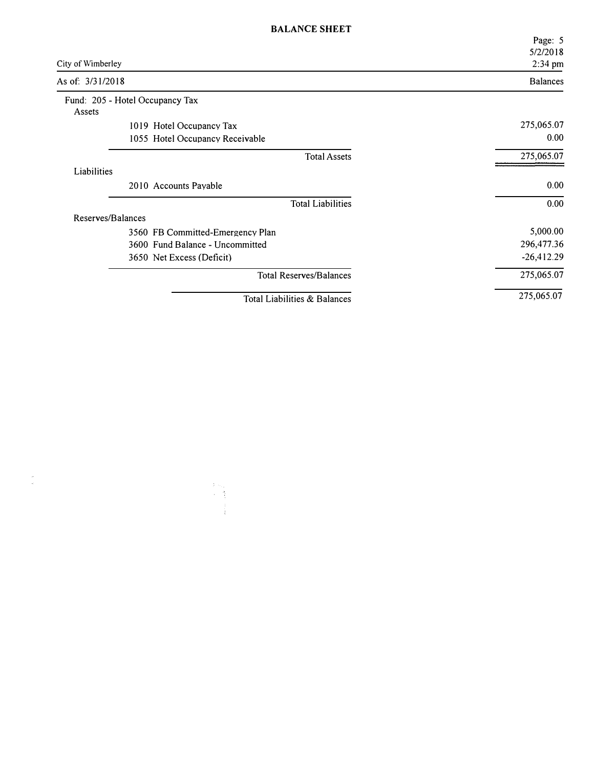|                   |                                  | Page: 5<br>5/2/2018 |
|-------------------|----------------------------------|---------------------|
| City of Wimberley |                                  | 2:34 pm             |
| As of: 3/31/2018  |                                  | <b>Balances</b>     |
|                   | Fund: 205 - Hotel Occupancy Tax  |                     |
| Assets            |                                  |                     |
|                   | 1019 Hotel Occupancy Tax         | 275,065.07          |
|                   | 1055 Hotel Occupancy Receivable  | 0.00                |
|                   | <b>Total Assets</b>              | 275,065.07          |
| Liabilities       |                                  |                     |
|                   | 2010 Accounts Payable            | 0.00                |
|                   | <b>Total Liabilities</b>         | 0.00                |
| Reserves/Balances |                                  |                     |
|                   | 3560 FB Committed-Emergency Plan | 5,000.00            |
|                   | 3600 Fund Balance - Uncommitted  | 296,477.36          |
|                   | 3650 Net Excess (Deficit)        | $-26,412.29$        |
|                   | <b>Total Reserves/Balances</b>   | 275,065.07          |
|                   | Total Liabilities & Balances     | 275,065.07          |

 $\frac{1}{\left|\frac{d}{dt}\right|}$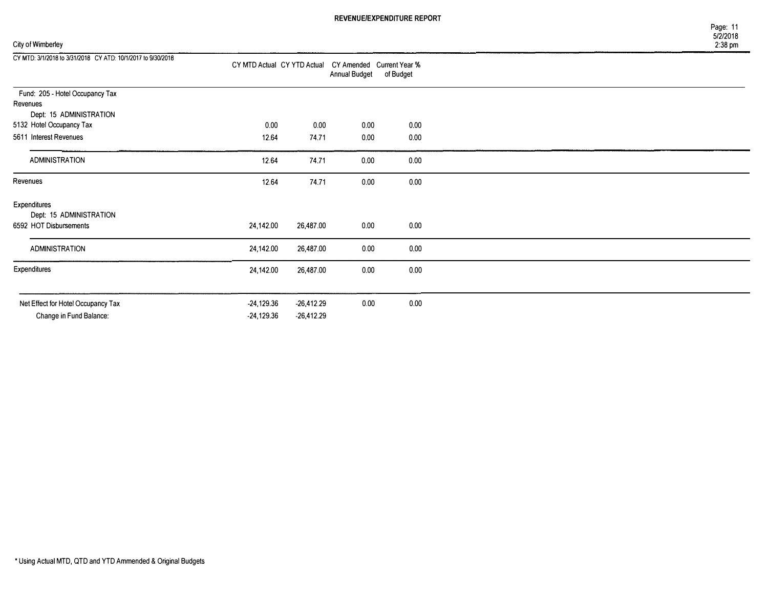| City of Wimberley | $2:38$ pm |
|-------------------|-----------|
|-------------------|-----------|

| 12.64     | 74.71                              | 0.00                                                                | 0.00                          |                                                        |
|-----------|------------------------------------|---------------------------------------------------------------------|-------------------------------|--------------------------------------------------------|
| 12.64     | 74.71                              | 0.00                                                                | 0.00                          |                                                        |
| 12.64     | 74.71                              | 0.00                                                                | 0.00                          |                                                        |
|           |                                    |                                                                     |                               |                                                        |
|           |                                    |                                                                     |                               |                                                        |
| 24,142.00 | 26,487.00                          | 0.00                                                                | 0.00                          |                                                        |
| 24,142.00 | 26,487.00                          | 0.00                                                                | 0.00                          |                                                        |
| 24,142.00 | 26,487.00                          | 0.00                                                                | 0.00                          |                                                        |
|           |                                    |                                                                     |                               |                                                        |
|           |                                    |                                                                     |                               |                                                        |
|           | 0.00<br>-24,129.36<br>$-24,129.36$ | CY MTD Actual CY YTD Actual<br>0.00<br>$-26,412.29$<br>$-26,412.29$ | Annual Budget<br>0.00<br>0.00 | CY Amended Current Year %<br>of Budget<br>0.00<br>0.00 |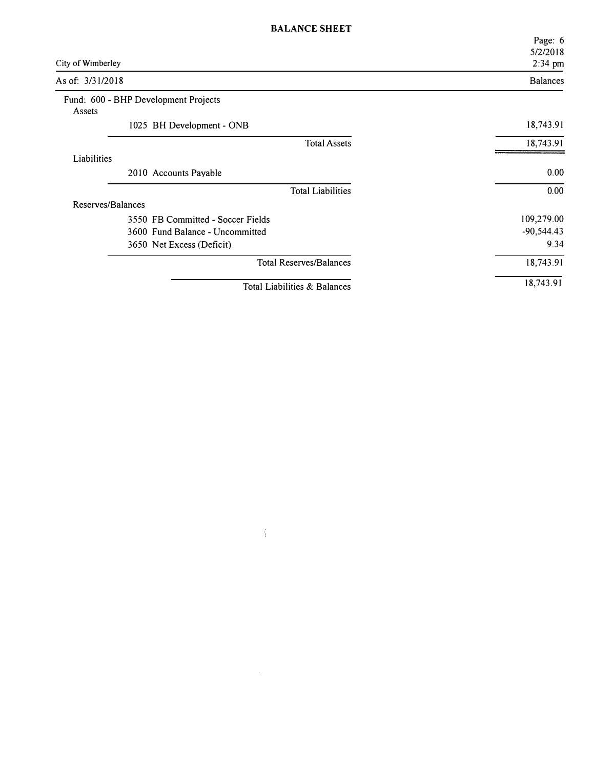| City of Wimberley                              |                                   | Page: 6<br>5/2/2018<br>2:34 pm |
|------------------------------------------------|-----------------------------------|--------------------------------|
| As of: 3/31/2018                               |                                   | <b>Balances</b>                |
| Fund: 600 - BHP Development Projects<br>Assets |                                   |                                |
|                                                | 1025 BH Development - ONB         | 18,743.91                      |
|                                                | <b>Total Assets</b>               | 18,743.91                      |
| Liabilities                                    |                                   |                                |
|                                                | 2010 Accounts Payable             | 0.00                           |
|                                                | <b>Total Liabilities</b>          | 0.00                           |
| Reserves/Balances                              |                                   |                                |
|                                                | 3550 FB Committed - Soccer Fields | 109,279.00                     |
|                                                | 3600 Fund Balance - Uncommitted   | $-90,544.43$                   |
|                                                | 3650 Net Excess (Deficit)         | 9.34                           |
|                                                | <b>Total Reserves/Balances</b>    | 18,743.91                      |
|                                                | Total Liabilities & Balances      | 18,743.91                      |

 $\frac{1}{2}$ 

 $\label{eq:1} \mathcal{A} = \mathcal{A} \otimes \mathcal{A} \otimes \mathcal{A} \otimes \mathcal{A}$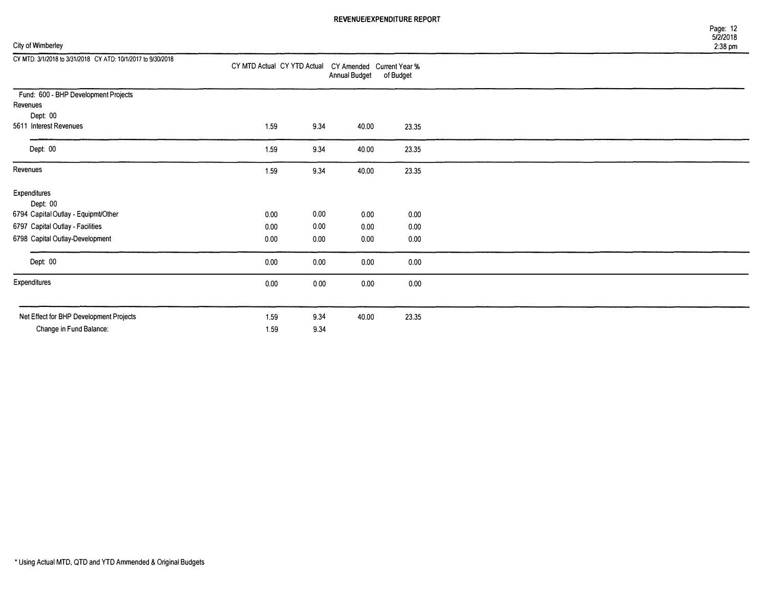## City of Wimberley 2:38 pm

| CY MTD: 3/1/2018 to 3/31/2018 CY ATD: 10/1/2017 to 9/30/2018 | CY MTD Actual CY YTD Actual CY Amended Current Year % |      | <b>Annual Budget</b> | of Budget |  |
|--------------------------------------------------------------|-------------------------------------------------------|------|----------------------|-----------|--|
| Fund: 600 - BHP Development Projects                         |                                                       |      |                      |           |  |
| Revenues                                                     |                                                       |      |                      |           |  |
| Dept: 00                                                     |                                                       |      |                      |           |  |
| 5611 Interest Revenues                                       | 1.59                                                  | 9.34 | 40.00                | 23.35     |  |
| Dept: 00                                                     | 1.59                                                  | 9.34 | 40.00                | 23.35     |  |
| Revenues                                                     | 1.59                                                  | 9.34 | 40.00                | 23.35     |  |
| Expenditures<br>Dept: 00                                     |                                                       |      |                      |           |  |
| 6794 Capital Outlay - Equipmt/Other                          | 0.00                                                  | 0.00 | 0.00                 | 0.00      |  |
| 6797 Capital Outlay - Facilities                             | 0.00                                                  | 0.00 | 0.00                 | 0.00      |  |
| 6798 Capital Outlay-Development                              | 0.00                                                  | 0.00 | 0.00                 | 0.00      |  |
| Dept: 00                                                     | 0.00                                                  | 0.00 | 0.00                 | 0.00      |  |
| Expenditures                                                 | 0.00                                                  | 0.00 | 0.00                 | 0.00      |  |
|                                                              |                                                       |      |                      |           |  |
| Net Effect for BHP Development Projects                      | 1.59                                                  | 9.34 | 40.00                | 23.35     |  |
| Change in Fund Balance:                                      | 1.59                                                  | 9.34 |                      |           |  |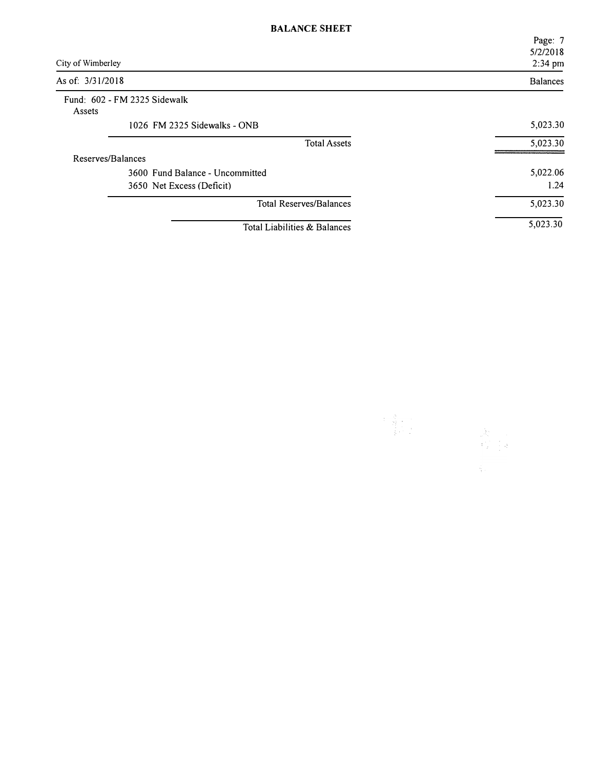|                   |                                 | Page: 7         |
|-------------------|---------------------------------|-----------------|
|                   |                                 | 5/2/2018        |
| City of Wimberley |                                 | 2:34 pm         |
| As of: 3/31/2018  |                                 | <b>Balances</b> |
|                   | Fund: 602 - FM 2325 Sidewalk    |                 |
| Assets            |                                 |                 |
|                   | 1026 FM 2325 Sidewalks - ONB    | 5,023.30        |
|                   | <b>Total Assets</b>             | 5,023.30        |
| Reserves/Balances |                                 |                 |
|                   | 3600 Fund Balance - Uncommitted | 5,022.06        |
|                   | 3650 Net Excess (Deficit)       | 1.24            |
|                   | <b>Total Reserves/Balances</b>  | 5,023.30        |
|                   | Total Liabilities & Balances    | 5,023.30        |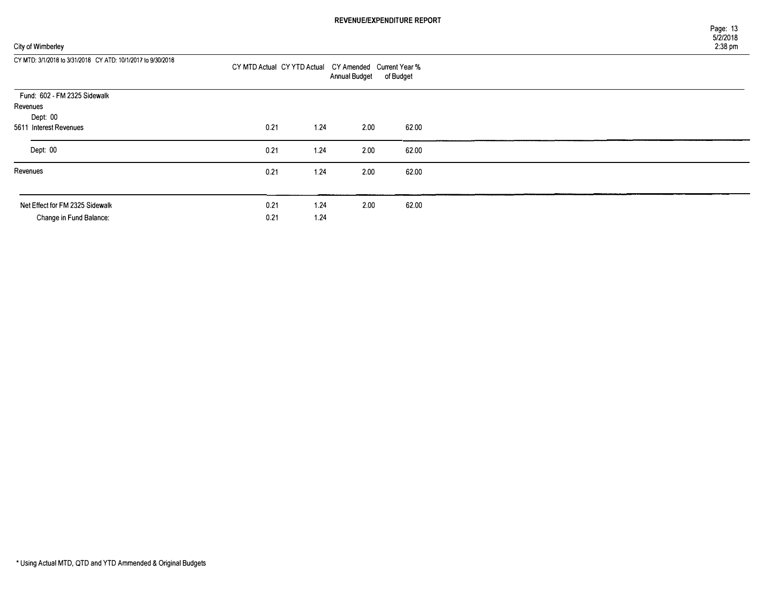## City of Wimberle

| City of Wimberley                                            |                                                       |      |                      |           | 5/2/2018<br>2:38 pm |
|--------------------------------------------------------------|-------------------------------------------------------|------|----------------------|-----------|---------------------|
| CY MTD: 3/1/2018 to 3/31/2018 CY ATD: 10/1/2017 to 9/30/2018 | CY MTD Actual CY YTD Actual CY Amended Current Year % |      | <b>Annual Budget</b> | of Budget |                     |
| Fund: 602 - FM 2325 Sidewalk                                 |                                                       |      |                      |           |                     |
| Revenues                                                     |                                                       |      |                      |           |                     |
| Dept: 00                                                     |                                                       |      |                      |           |                     |
| 5611 Interest Revenues                                       | 0.21                                                  | 1.24 | 2.00                 | 62.00     |                     |
| Dept: 00                                                     | 0.21                                                  | 1.24 | 2.00                 | 62.00     |                     |
| Revenues                                                     | 0.21                                                  | 1.24 | 2.00                 | 62.00     |                     |

Page: 13

| Net Effect for FM 2325 Sidewalk | ე.21  | -24 | 2.00 | 62.00 |
|---------------------------------|-------|-----|------|-------|
| Change in Fund Balance:         | 21.21 | .24 |      |       |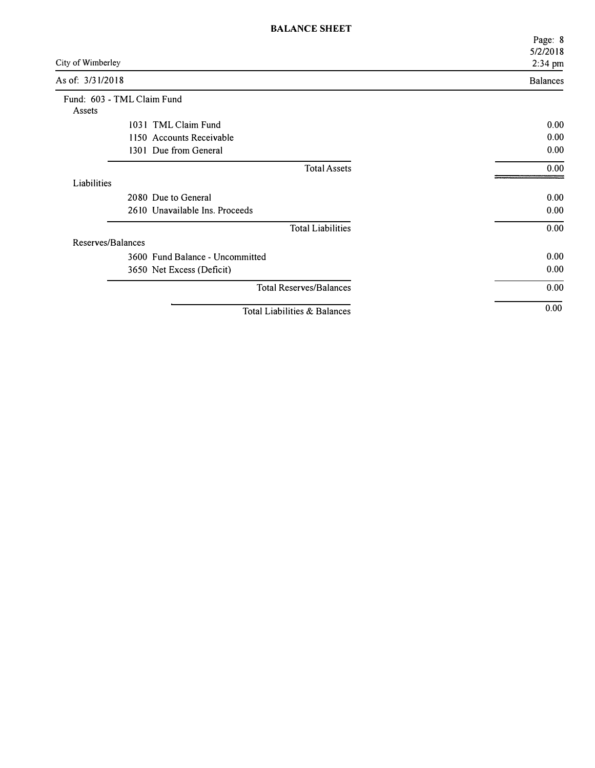|                   |                                 | Page: 8             |
|-------------------|---------------------------------|---------------------|
| City of Wimberley |                                 | 5/2/2018<br>2:34 pm |
| As of: 3/31/2018  |                                 | <b>Balances</b>     |
|                   | Fund: 603 - TML Claim Fund      |                     |
| Assets            | 1031 TML Claim Fund             | 0.00                |
|                   | 1150 Accounts Receivable        | 0.00                |
|                   | 1301 Due from General           | 0.00                |
|                   | <b>Total Assets</b>             | 0.00                |
| Liabilities       |                                 |                     |
|                   | 2080 Due to General             | 0.00                |
|                   | 2610 Unavailable Ins. Proceeds  | 0.00                |
|                   | <b>Total Liabilities</b>        | 0.00                |
| Reserves/Balances |                                 |                     |
|                   | 3600 Fund Balance - Uncommitted | 0.00                |
|                   | 3650 Net Excess (Deficit)       | 0.00                |
|                   | <b>Total Reserves/Balances</b>  | 0.00                |
|                   | Total Liabilities & Balances    | 0.00                |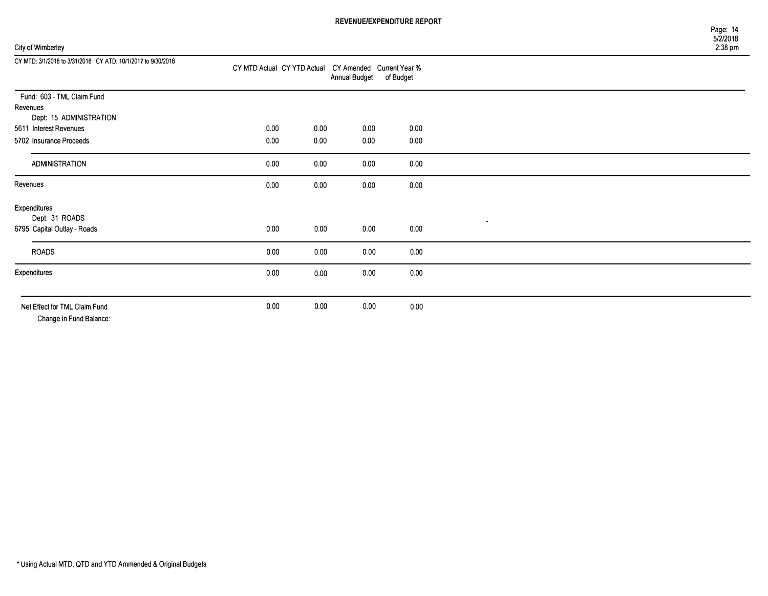## City of Wimberley

| CY MTD: 3/1/2018 to 3/31/2018 CY ATD: 10/1/2017 to 9/30/2018 | CY MTD Actual CY YTD Actual CY Amended Current Year % |      | <b>Annual Budget</b> | of Budget |           |  |
|--------------------------------------------------------------|-------------------------------------------------------|------|----------------------|-----------|-----------|--|
| Fund: 603 - TML Claim Fund                                   |                                                       |      |                      |           |           |  |
| Revenues                                                     |                                                       |      |                      |           |           |  |
| Dept: 15 ADMINISTRATION                                      |                                                       |      |                      |           |           |  |
| 5611 Interest Revenues                                       | 0.00                                                  | 0.00 | 0.00                 | 0.00      |           |  |
| 5702 Insurance Proceeds                                      | 0.00                                                  | 0.00 | 0.00                 | 0.00      |           |  |
| ADMINISTRATION                                               | 0.00                                                  | 0.00 | 0.00                 | 0.00      |           |  |
| Revenues                                                     | 0.00                                                  | 0.00 | 0.00                 | 0.00      |           |  |
| Expenditures                                                 |                                                       |      |                      |           |           |  |
| Dept: 31 ROADS                                               |                                                       |      |                      |           | $\bullet$ |  |
| 6795 Capital Outlay - Roads                                  | 0.00                                                  | 0.00 | 0.00                 | 0.00      |           |  |
| <b>ROADS</b>                                                 | 0.00                                                  | 0.00 | 0.00                 | 0.00      |           |  |
| Expenditures                                                 | 0.00                                                  | 0.00 | 0.00                 | 0.00      |           |  |
|                                                              |                                                       |      |                      |           |           |  |
| Net Effect for TML Claim Fund<br>Change in Fund Balance:     | 0.00                                                  | 0.00 | 0.00                 | 0.00      |           |  |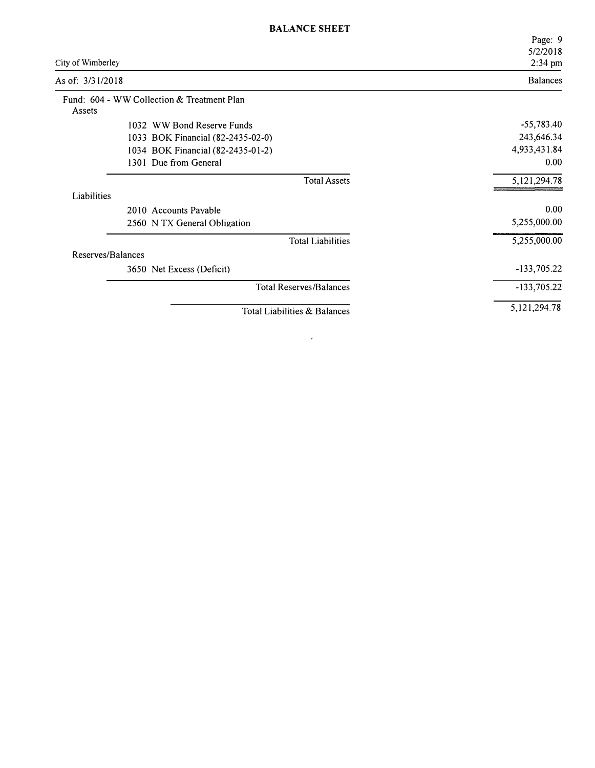|                                                      | Page: 9             |  |
|------------------------------------------------------|---------------------|--|
| City of Wimberley                                    | 5/2/2018<br>2:34 pm |  |
| As of: 3/31/2018                                     | <b>Balances</b>     |  |
| Fund: 604 - WW Collection & Treatment Plan<br>Assets |                     |  |
| 1032 WW Bond Reserve Funds                           | $-55,783.40$        |  |
| 1033 BOK Financial (82-2435-02-0)                    | 243,646.34          |  |
| 1034 BOK Financial (82-2435-01-2)                    | 4,933,431.84        |  |
| 1301 Due from General                                | 0.00                |  |
| <b>Total Assets</b>                                  | 5,121,294.78        |  |
| Liabilities                                          |                     |  |
| 2010 Accounts Payable                                | 0.00                |  |
| 2560 N TX General Obligation                         | 5,255,000.00        |  |
| <b>Total Liabilities</b>                             | 5,255,000.00        |  |
| Reserves/Balances                                    |                     |  |
| 3650 Net Excess (Deficit)                            | $-133,705.22$       |  |
| <b>Total Reserves/Balances</b>                       | $-133,705.22$       |  |
| Total Liabilities & Balances                         | 5,121,294.78        |  |

 $\label{eq:2} \frac{1}{\sqrt{2}}\left(\frac{1}{\sqrt{2}}\right)^2\left(\frac{1}{\sqrt{2}}\right)^2\left(\frac{1}{\sqrt{2}}\right)^2\left(\frac{1}{\sqrt{2}}\right)^2.$